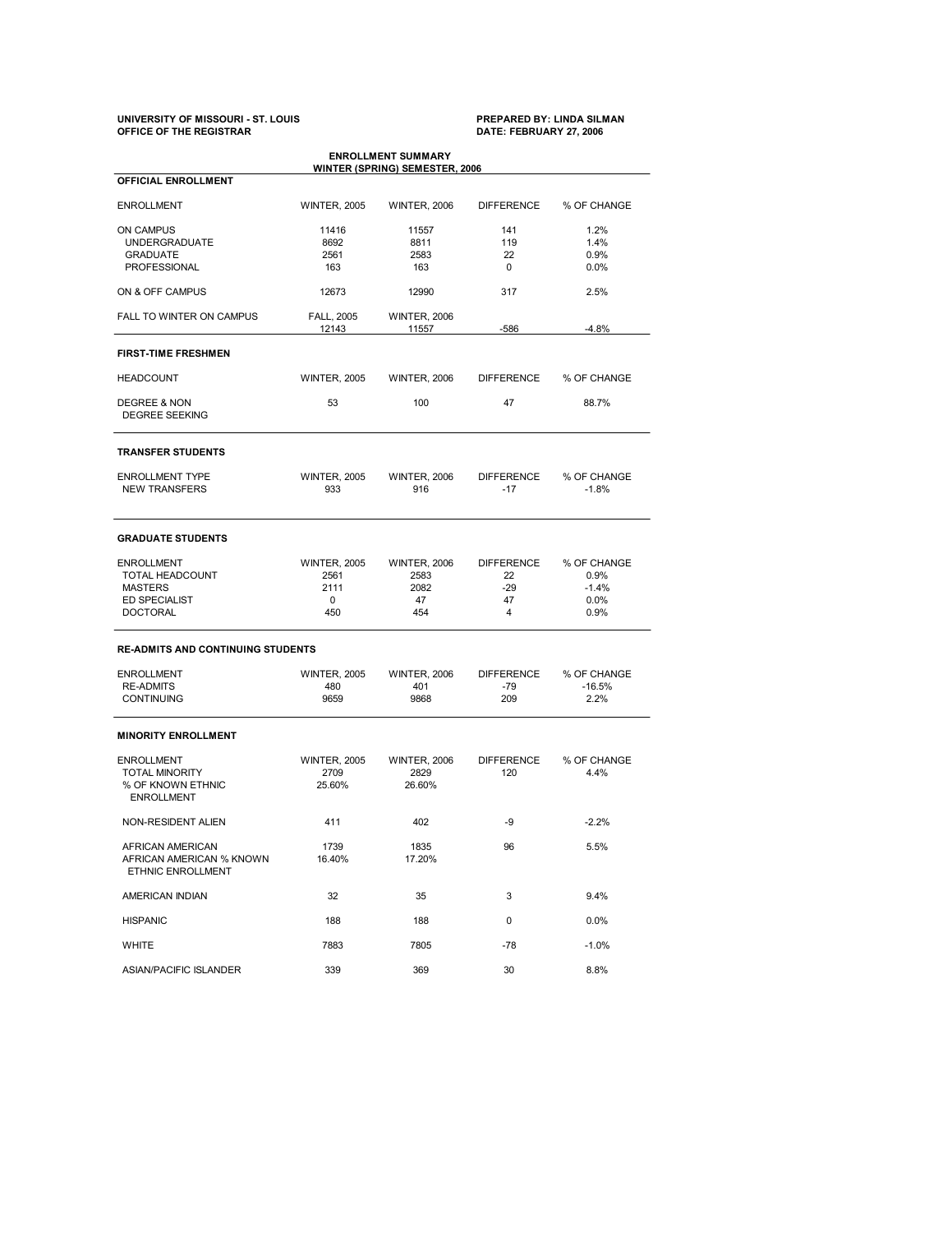# **UNIVERSITY OF MISSOURI ST. LOUIS PREPARED BY: LINDA SILMAN OFFICE OF THE REGISTRAR DATE: FEBRUARY 27, 2006**

| <b>ENROLLMENT SUMMARY</b><br><b>WINTER (SPRING) SEMESTER, 2006</b>                                |                                                 |                                                  |                                             |                                                |  |  |
|---------------------------------------------------------------------------------------------------|-------------------------------------------------|--------------------------------------------------|---------------------------------------------|------------------------------------------------|--|--|
| <b>OFFICIAL ENROLLMENT</b>                                                                        |                                                 |                                                  |                                             |                                                |  |  |
| <b>ENROLLMENT</b>                                                                                 | <b>WINTER, 2005</b>                             | <b>WINTER, 2006</b>                              | <b>DIFFERENCE</b>                           | % OF CHANGE                                    |  |  |
| <b>ON CAMPUS</b><br><b>UNDERGRADUATE</b><br><b>GRADUATE</b><br><b>PROFESSIONAL</b>                | 11416<br>8692<br>2561<br>163                    | 11557<br>8811<br>2583<br>163                     | 141<br>119<br>22<br>0                       | 1.2%<br>1.4%<br>0.9%<br>0.0%                   |  |  |
| ON & OFF CAMPUS                                                                                   | 12673                                           | 12990                                            | 317                                         | 2.5%                                           |  |  |
| FALL TO WINTER ON CAMPUS                                                                          | <b>FALL, 2005</b><br>12143                      | <b>WINTER, 2006</b><br>11557                     |                                             | $-4.8%$                                        |  |  |
| <b>FIRST-TIME FRESHMEN</b>                                                                        |                                                 |                                                  |                                             |                                                |  |  |
| <b>HEADCOUNT</b>                                                                                  | <b>WINTER, 2005</b>                             | <b>WINTER, 2006</b>                              | <b>DIFFERENCE</b>                           | % OF CHANGE                                    |  |  |
| DEGREE & NON<br><b>DEGREE SEEKING</b>                                                             | 53                                              | 100                                              | 47                                          | 88.7%                                          |  |  |
| <b>TRANSFER STUDENTS</b>                                                                          |                                                 |                                                  |                                             |                                                |  |  |
| <b>ENROLLMENT TYPE</b><br><b>NEW TRANSFERS</b>                                                    | <b>WINTER, 2005</b><br>933                      | <b>WINTER, 2006</b><br>916                       | <b>DIFFERENCE</b><br>$-17$                  | % OF CHANGE<br>$-1.8%$                         |  |  |
| <b>GRADUATE STUDENTS</b>                                                                          |                                                 |                                                  |                                             |                                                |  |  |
| <b>ENROLLMENT</b><br>TOTAL HEADCOUNT<br><b>MASTERS</b><br><b>ED SPECIALIST</b><br><b>DOCTORAL</b> | <b>WINTER, 2005</b><br>2561<br>2111<br>0<br>450 | <b>WINTER, 2006</b><br>2583<br>2082<br>47<br>454 | <b>DIFFERENCE</b><br>22<br>$-29$<br>47<br>4 | % OF CHANGE<br>0.9%<br>$-1.4%$<br>0.0%<br>0.9% |  |  |
| <b>RE-ADMITS AND CONTINUING STUDENTS</b>                                                          |                                                 |                                                  |                                             |                                                |  |  |
| <b>ENROLLMENT</b><br><b>RE-ADMITS</b><br><b>CONTINUING</b>                                        | <b>WINTER, 2005</b><br>480<br>9659              | <b>WINTER, 2006</b><br>401<br>9868               | <b>DIFFERENCE</b><br>-79<br>209             | % OF CHANGE<br>$-16.5%$<br>2.2%                |  |  |
| <b>MINORITY ENROLLMENT</b>                                                                        |                                                 |                                                  |                                             |                                                |  |  |
| <b>ENROLLMENT</b><br><b>TOTAL MINORITY</b><br>% OF KNOWN ETHNIC<br><b>ENROLLMENT</b>              | <b>WINTER, 2005</b><br>2709<br>25.60%           | <b>WINTER, 2006</b><br>2829<br>26.60%            | <b>DIFFERENCE</b><br>120                    | % OF CHANGE<br>4.4%                            |  |  |
| NON-RESIDENT ALIEN                                                                                | 411                                             | 402                                              | -9                                          | $-2.2%$                                        |  |  |
| AFRICAN AMERICAN<br>AFRICAN AMERICAN % KNOWN<br>ETHNIC ENROLLMENT                                 | 1739<br>16.40%                                  | 1835<br>17.20%                                   | 96                                          | 5.5%                                           |  |  |
| AMERICAN INDIAN                                                                                   | 32                                              | 35                                               | 3                                           | 9.4%                                           |  |  |
| <b>HISPANIC</b>                                                                                   | 188                                             | 188                                              | 0                                           | 0.0%                                           |  |  |
| WHITE                                                                                             | 7883                                            | 7805                                             | -78                                         | $-1.0\%$                                       |  |  |
| <b>ASIAN/PACIFIC ISLANDER</b>                                                                     | 339                                             | 369                                              | 30                                          | 8.8%                                           |  |  |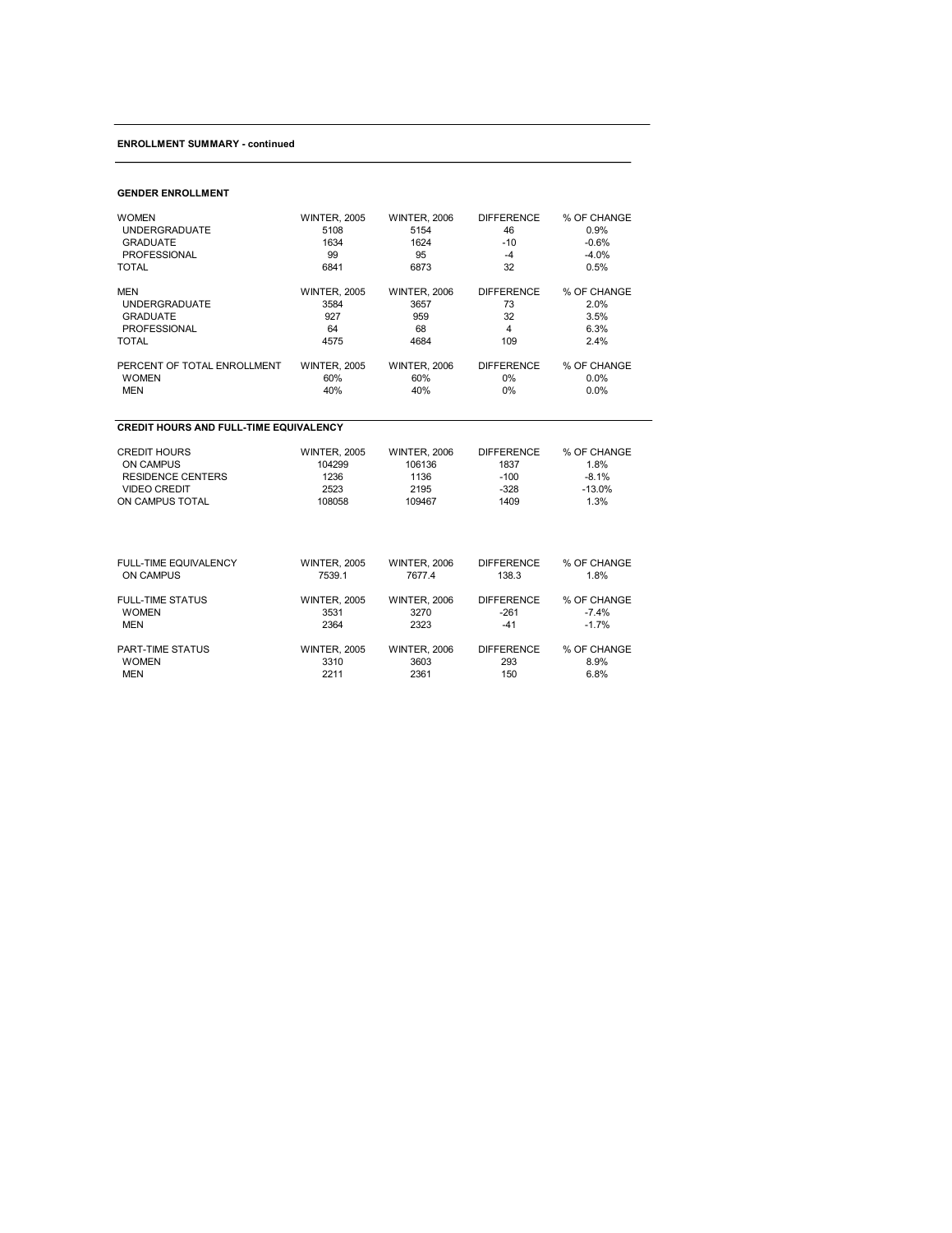# **ENROLLMENT SUMMARY continued**

### **GENDER ENROLLMENT**

| <b>WOMEN</b>                                  | <b>WINTER, 2005</b> | <b>WINTER, 2006</b> | <b>DIFFERENCE</b> | % OF CHANGE |
|-----------------------------------------------|---------------------|---------------------|-------------------|-------------|
| <b>UNDERGRADUATE</b>                          | 5108                | 5154                | 46                | 0.9%        |
| <b>GRADUATE</b>                               | 1634                | 1624                | $-10$             | $-0.6%$     |
| <b>PROFESSIONAL</b>                           | 99                  | 95                  | $-4$              | $-4.0%$     |
| <b>TOTAL</b>                                  | 6841                | 6873                | 32                | 0.5%        |
| <b>MEN</b>                                    | <b>WINTER, 2005</b> | <b>WINTER, 2006</b> | <b>DIFFERENCE</b> | % OF CHANGE |
| <b>UNDERGRADUATE</b>                          | 3584                | 3657                | 73                | 2.0%        |
| <b>GRADUATE</b>                               | 927                 | 959                 | 32                | 3.5%        |
| <b>PROFESSIONAL</b>                           | 64                  | 68                  | 4                 | 6.3%        |
| <b>TOTAL</b>                                  | 4575                | 4684                | 109               | 2.4%        |
| PERCENT OF TOTAL ENROLLMENT                   | <b>WINTER, 2005</b> | <b>WINTER, 2006</b> | <b>DIFFERENCE</b> | % OF CHANGE |
| <b>WOMEN</b>                                  | 60%                 | 60%                 | $0\%$             | $0.0\%$     |
| <b>MEN</b>                                    | 40%                 | 40%                 | $0\%$             | $0.0\%$     |
| <b>CREDIT HOURS AND FULL-TIME EQUIVALENCY</b> |                     |                     |                   |             |
| <b>CREDIT HOURS</b>                           | <b>WINTER, 2005</b> | <b>WINTER, 2006</b> | <b>DIFFERENCE</b> | % OF CHANGE |
| <b>ON CAMPUS</b>                              | 104299              | 106136              | 1837              | 1.8%        |
| <b>RESIDENCE CENTERS</b>                      | 1236                | 1136                | $-100$            | $-8.1%$     |
| <b>VIDEO CREDIT</b>                           | 2523                | 2195                | $-328$            | $-13.0%$    |

| ON CAMPUS TOTAL              | 108058              | 109467              | 1409              | 1.3%        |  |
|------------------------------|---------------------|---------------------|-------------------|-------------|--|
|                              |                     |                     |                   |             |  |
| <b>FULL-TIME EQUIVALENCY</b> | <b>WINTER, 2005</b> | <b>WINTER, 2006</b> | <b>DIFFERENCE</b> | % OF CHANGE |  |
| <b>ON CAMPUS</b>             | 7539.1              | 7677.4              | 138.3             | 1.8%        |  |
| <b>FULL-TIME STATUS</b>      | <b>WINTER, 2005</b> | <b>WINTER, 2006</b> | <b>DIFFERENCE</b> | % OF CHANGE |  |
| <b>WOMEN</b>                 | 3531                | 3270                | $-261$            | $-7.4%$     |  |
| <b>MEN</b>                   | 2364                | 2323                | -41               | $-1.7%$     |  |
| <b>PART-TIME STATUS</b>      | <b>WINTER, 2005</b> | <b>WINTER, 2006</b> | <b>DIFFERENCE</b> | % OF CHANGE |  |
| <b>WOMEN</b>                 | 3310                | 3603                | 293               | 8.9%        |  |
| <b>MEN</b>                   | 2211                | 2361                | 150               | 6.8%        |  |